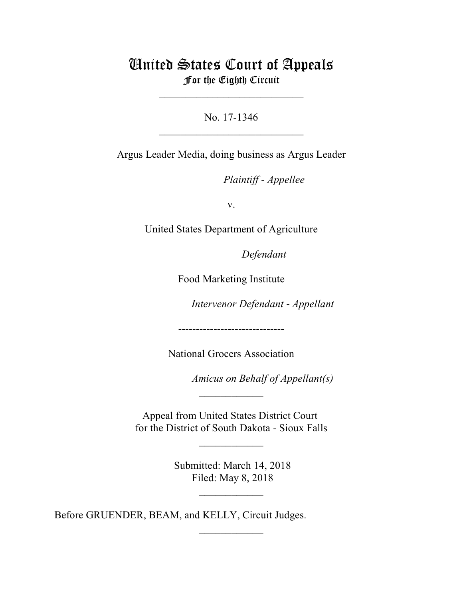## United States Court of Appeals For the Eighth Circuit

\_\_\_\_\_\_\_\_\_\_\_\_\_\_\_\_\_\_\_\_\_\_\_\_\_\_\_

No. 17-1346  $\mathcal{L}_\text{max}$  , which is a set of the set of the set of the set of the set of the set of the set of the set of the set of the set of the set of the set of the set of the set of the set of the set of the set of the set of

Argus Leader Media, doing business as Argus Leader

Plaintiff - Appellee

v.

United States Department of Agriculture

Defendant

Food Marketing Institute

Intervenor Defendant - *Appellant* 

------------------------------

National Grocers Association

*Amicus on Behalf of Appellant(s)* 

Appeal from United States District Court for the District of South Dakota - Sioux Falls

 $\frac{1}{2}$ 

 $\overline{\phantom{a}}$  , where  $\overline{\phantom{a}}$ 

 Submitted: March 14, 2018 Filed: May 8, 2018

 $\frac{1}{2}$ 

 $\frac{1}{2}$ 

Before GRUENDER, BEAM, and KELLY, Circuit Judges.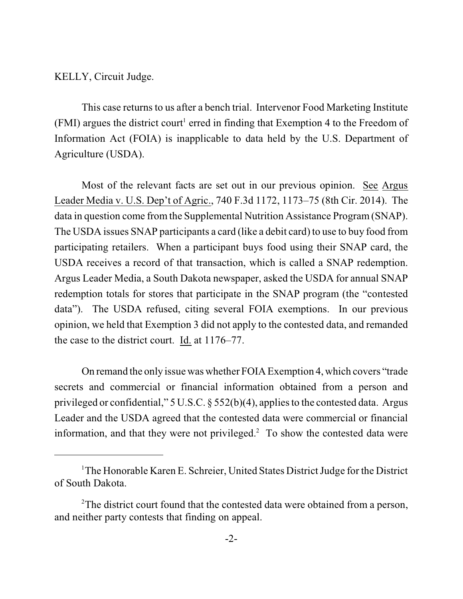KELLY, Circuit Judge.

This case returns to us after a bench trial. Intervenor Food Marketing Institute (FMI) argues the district court<sup>1</sup> erred in finding that Exemption 4 to the Freedom of Information Act (FOIA) is inapplicable to data held by the U.S. Department of Agriculture (USDA).

Most of the relevant facts are set out in our previous opinion. See Argus Leader Media v. U.S. Dep't of Agric., 740 F.3d 1172, 1173–75 (8th Cir. 2014). The data in question come from the Supplemental Nutrition Assistance Program (SNAP). The USDA issues SNAP participants a card (like a debit card) to use to buy food from participating retailers. When a participant buys food using their SNAP card, the USDA receives a record of that transaction, which is called a SNAP redemption. Argus Leader Media, a South Dakota newspaper, asked the USDA for annual SNAP redemption totals for stores that participate in the SNAP program (the "contested data"). The USDA refused, citing several FOIA exemptions. In our previous opinion, we held that Exemption 3 did not apply to the contested data, and remanded the case to the district court. Id. at 1176–77.

On remand the only issue was whether FOIA Exemption 4, which covers "trade secrets and commercial or financial information obtained from a person and privileged or confidential," 5 U.S.C. § 552(b)(4), applies to the contested data. Argus Leader and the USDA agreed that the contested data were commercial or financial information, and that they were not privileged. $<sup>2</sup>$  To show the contested data were</sup>

 $1$ The Honorable Karen E. Schreier, United States District Judge for the District of South Dakota.

<sup>&</sup>lt;sup>2</sup>The district court found that the contested data were obtained from a person, and neither party contests that finding on appeal.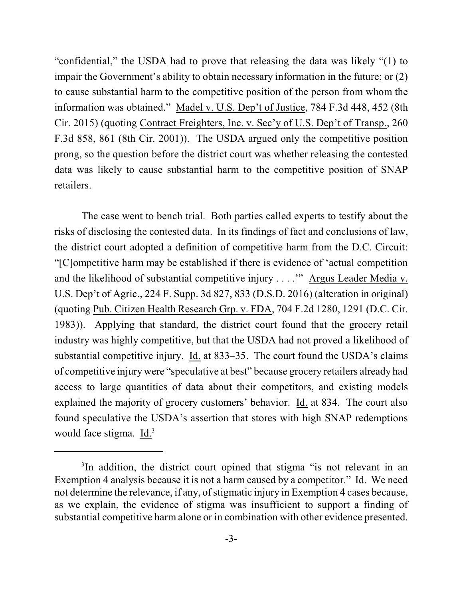"confidential," the USDA had to prove that releasing the data was likely "(1) to impair the Government's ability to obtain necessary information in the future; or (2) to cause substantial harm to the competitive position of the person from whom the information was obtained." Madel v. U.S. Dep't of Justice, 784 F.3d 448, 452 (8th Cir. 2015) (quoting Contract Freighters, Inc. v. Sec'y of U.S. Dep't of Transp., 260 F.3d 858, 861 (8th Cir. 2001)). The USDA argued only the competitive position prong, so the question before the district court was whether releasing the contested data was likely to cause substantial harm to the competitive position of SNAP retailers.

The case went to bench trial. Both parties called experts to testify about the risks of disclosing the contested data. In its findings of fact and conclusions of law, the district court adopted a definition of competitive harm from the D.C. Circuit: "[C]ompetitive harm may be established if there is evidence of 'actual competition and the likelihood of substantial competitive injury . . . .'" Argus Leader Media v. U.S. Dep't of Agric., 224 F. Supp. 3d 827, 833 (D.S.D. 2016) (alteration in original) (quoting Pub. Citizen Health Research Grp. v. FDA, 704 F.2d 1280, 1291 (D.C. Cir. 1983)). Applying that standard, the district court found that the grocery retail industry was highly competitive, but that the USDA had not proved a likelihood of substantial competitive injury. Id. at 833–35. The court found the USDA's claims of competitive injury were "speculative at best" because grocery retailers already had access to large quantities of data about their competitors, and existing models explained the majority of grocery customers' behavior. Id. at 834. The court also found speculative the USDA's assertion that stores with high SNAP redemptions would face stigma. Id.<sup>3</sup>

<sup>&</sup>lt;sup>3</sup>In addition, the district court opined that stigma "is not relevant in an Exemption 4 analysis because it is not a harm caused by a competitor." Id. We need not determine the relevance, if any, of stigmatic injury in Exemption 4 cases because, as we explain, the evidence of stigma was insufficient to support a finding of substantial competitive harm alone or in combination with other evidence presented.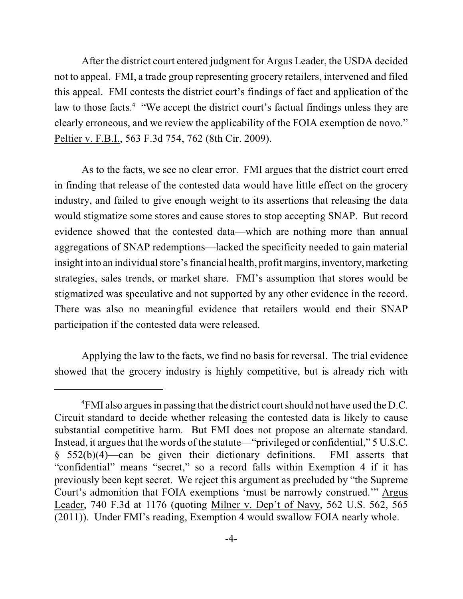After the district court entered judgment for Argus Leader, the USDA decided not to appeal. FMI, a trade group representing grocery retailers, intervened and filed this appeal. FMI contests the district court's findings of fact and application of the law to those facts.<sup>4</sup> "We accept the district court's factual findings unless they are clearly erroneous, and we review the applicability of the FOIA exemption de novo." Peltier v. F.B.I., 563 F.3d 754, 762 (8th Cir. 2009).

As to the facts, we see no clear error. FMI argues that the district court erred in finding that release of the contested data would have little effect on the grocery industry, and failed to give enough weight to its assertions that releasing the data would stigmatize some stores and cause stores to stop accepting SNAP. But record evidence showed that the contested data—which are nothing more than annual aggregations of SNAP redemptions—lacked the specificity needed to gain material insight into an individual store's financial health, profit margins, inventory, marketing strategies, sales trends, or market share. FMI's assumption that stores would be stigmatized was speculative and not supported by any other evidence in the record. There was also no meaningful evidence that retailers would end their SNAP participation if the contested data were released.

Applying the law to the facts, we find no basis for reversal. The trial evidence showed that the grocery industry is highly competitive, but is already rich with

<sup>&</sup>lt;sup>4</sup>FMI also argues in passing that the district court should not have used the D.C. Circuit standard to decide whether releasing the contested data is likely to cause substantial competitive harm. But FMI does not propose an alternate standard. Instead, it argues that the words of the statute—"privileged or confidential," 5 U.S.C. § 552(b)(4)—can be given their dictionary definitions. FMI asserts that "confidential" means "secret," so a record falls within Exemption 4 if it has previously been kept secret. We reject this argument as precluded by "the Supreme Court's admonition that FOIA exemptions 'must be narrowly construed.'" Argus Leader, 740 F.3d at 1176 (quoting Milner v. Dep't of Navy, 562 U.S. 562, 565 (2011)). Under FMI's reading, Exemption 4 would swallow FOIA nearly whole.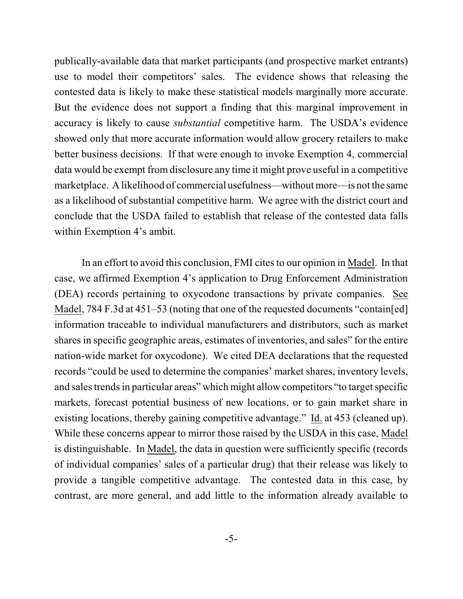publically-available data that market participants (and prospective market entrants) use to model their competitors' sales. The evidence shows that releasing the contested data is likely to make these statistical models marginally more accurate. But the evidence does not support a finding that this marginal improvement in accuracy is likely to cause *substantial* competitive harm. The USDA's evidence showed only that more accurate information would allow grocery retailers to make better business decisions. If that were enough to invoke Exemption 4, commercial data would be exempt from disclosure any time it might prove useful in a competitive marketplace. A likelihood of commercial usefulness—withoutmore—is not the same as a likelihood of substantial competitive harm. We agree with the district court and conclude that the USDA failed to establish that release of the contested data falls within Exemption 4's ambit.

In an effort to avoid this conclusion, FMI cites to our opinion in Madel. In that case, we affirmed Exemption 4's application to Drug Enforcement Administration (DEA) records pertaining to oxycodone transactions by private companies. See Madel, 784 F.3d at 451–53 (noting that one of the requested documents "contain[ed] information traceable to individual manufacturers and distributors, such as market shares in specific geographic areas, estimates of inventories, and sales" for the entire nation-wide market for oxycodone). We cited DEA declarations that the requested records "could be used to determine the companies' market shares, inventory levels, and sales trends in particular areas" which might allow competitors "to target specific markets, forecast potential business of new locations, or to gain market share in existing locations, thereby gaining competitive advantage." Id. at 453 (cleaned up). While these concerns appear to mirror those raised by the USDA in this case, Madel is distinguishable. In Madel, the data in question were sufficiently specific (records of individual companies' sales of a particular drug) that their release was likely to provide a tangible competitive advantage. The contested data in this case, by contrast, are more general, and add little to the information already available to